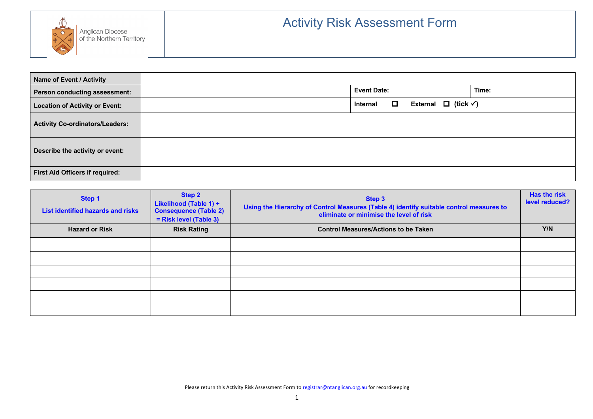

| Name of Event / Activity               |                    |                                      |       |
|----------------------------------------|--------------------|--------------------------------------|-------|
| Person conducting assessment:          | <b>Event Date:</b> |                                      | Time: |
| <b>Location of Activity or Event:</b>  | $\Box$<br>Internal | External $\Box$ (tick $\checkmark$ ) |       |
| <b>Activity Co-ordinators/Leaders:</b> |                    |                                      |       |
| Describe the activity or event:        |                    |                                      |       |
| <b>First Aid Officers if required:</b> |                    |                                      |       |

| Step 1<br>List identified hazards and risks | Step 2<br>Likelihood (Table 1) +<br><b>Consequence (Table 2)</b><br>= Risk level (Table 3) | Step 3<br>Using the Hierarchy of Control Measures (Table 4) identify suitable control measures to<br>eliminate or minimise the level of risk | <b>Has the risk</b><br>level reduced? |
|---------------------------------------------|--------------------------------------------------------------------------------------------|----------------------------------------------------------------------------------------------------------------------------------------------|---------------------------------------|
| <b>Hazard or Risk</b>                       | <b>Risk Rating</b>                                                                         | <b>Control Measures/Actions to be Taken</b>                                                                                                  | Y/N                                   |
|                                             |                                                                                            |                                                                                                                                              |                                       |
|                                             |                                                                                            |                                                                                                                                              |                                       |
|                                             |                                                                                            |                                                                                                                                              |                                       |
|                                             |                                                                                            |                                                                                                                                              |                                       |
|                                             |                                                                                            |                                                                                                                                              |                                       |
|                                             |                                                                                            |                                                                                                                                              |                                       |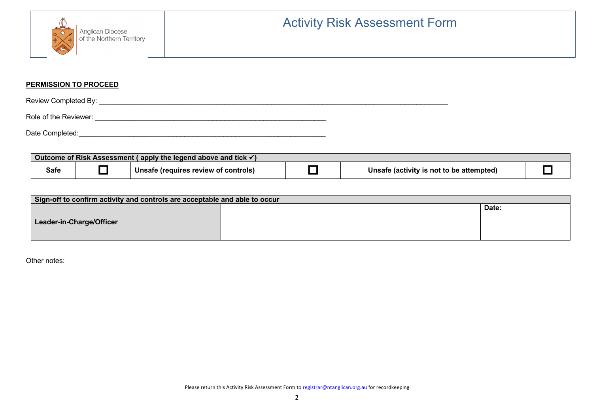## **PERMISSION TO PROCEED**

| Review Completed By:  |  |  |
|-----------------------|--|--|
| Role of the Reviewer: |  |  |
| Date Completed:       |  |  |

| Outcome of Risk Assessment ( apply the legend above and tick $\checkmark$ |  |                                      |  |                                          |  |  |  |
|---------------------------------------------------------------------------|--|--------------------------------------|--|------------------------------------------|--|--|--|
| Safe                                                                      |  | Unsafe (requires review of controls) |  | Unsafe (activity is not to be attempted) |  |  |  |

| Sign-off to confirm activity and controls are acceptable and able to occur |  |       |  |  |  |  |
|----------------------------------------------------------------------------|--|-------|--|--|--|--|
|                                                                            |  | Date: |  |  |  |  |
| Leader-in-Charge/Officer                                                   |  |       |  |  |  |  |

Other notes: